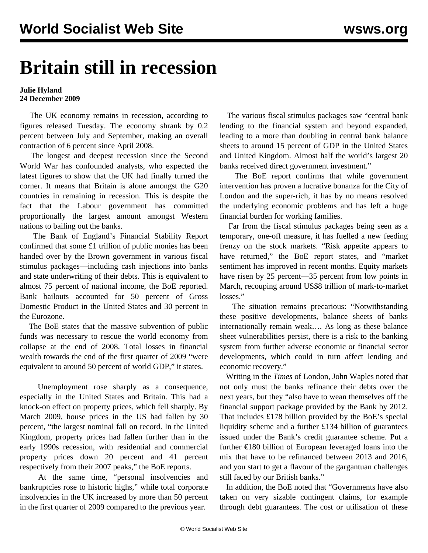## **Britain still in recession**

## **Julie Hyland 24 December 2009**

 The UK economy remains in recession, according to figures released Tuesday. The economy shrank by 0.2 percent between July and September, making an overall contraction of 6 percent since April 2008.

 The longest and deepest recession since the Second World War has confounded analysts, who expected the latest figures to show that the UK had finally turned the corner. It means that Britain is alone amongst the G20 countries in remaining in recession. This is despite the fact that the Labour government has committed proportionally the largest amount amongst Western nations to bailing out the banks.

 The Bank of England's Financial Stability Report confirmed that some £1 trillion of public monies has been handed over by the Brown government in various fiscal stimulus packages—including cash injections into banks and state underwriting of their debts. This is equivalent to almost 75 percent of national income, the BoE reported. Bank bailouts accounted for 50 percent of Gross Domestic Product in the United States and 30 percent in the Eurozone.

 The BoE states that the massive subvention of public funds was necessary to rescue the world economy from collapse at the end of 2008. Total losses in financial wealth towards the end of the first quarter of 2009 "were equivalent to around 50 percent of world GDP," it states.

 Unemployment rose sharply as a consequence, especially in the United States and Britain. This had a knock-on effect on property prices, which fell sharply. By March 2009, house prices in the US had fallen by 30 percent, "the largest nominal fall on record. In the United Kingdom, property prices had fallen further than in the early 1990s recession, with residential and commercial property prices down 20 percent and 41 percent respectively from their 2007 peaks," the BoE reports.

 At the same time, "personal insolvencies and bankruptcies rose to historic highs," while total corporate insolvencies in the UK increased by more than 50 percent in the first quarter of 2009 compared to the previous year.

 The various fiscal stimulus packages saw "central bank lending to the financial system and beyond expanded, leading to a more than doubling in central bank balance sheets to around 15 percent of GDP in the United States and United Kingdom. Almost half the world's largest 20 banks received direct government investment."

 The BoE report confirms that while government intervention has proven a lucrative bonanza for the City of London and the super-rich, it has by no means resolved the underlying economic problems and has left a huge financial burden for working families.

 Far from the fiscal stimulus packages being seen as a temporary, one-off measure, it has fuelled a new feeding frenzy on the stock markets. "Risk appetite appears to have returned," the BoE report states, and "market sentiment has improved in recent months. Equity markets have risen by 25 percent—35 percent from low points in March, recouping around US\$8 trillion of mark-to-market losses."

 The situation remains precarious: "Notwithstanding these positive developments, balance sheets of banks internationally remain weak…. As long as these balance sheet vulnerabilities persist, there is a risk to the banking system from further adverse economic or financial sector developments, which could in turn affect lending and economic recovery."

 Writing in the *Times* of London, John Waples noted that not only must the banks refinance their debts over the next years, but they "also have to wean themselves off the financial support package provided by the Bank by 2012. That includes £178 billion provided by the BoE's special liquidity scheme and a further £134 billion of guarantees issued under the Bank's credit guarantee scheme. Put a further €180 billion of European leveraged loans into the mix that have to be refinanced between 2013 and 2016, and you start to get a flavour of the gargantuan challenges still faced by our British banks."

 In addition, the BoE noted that "Governments have also taken on very sizable contingent claims, for example through debt guarantees. The cost or utilisation of these